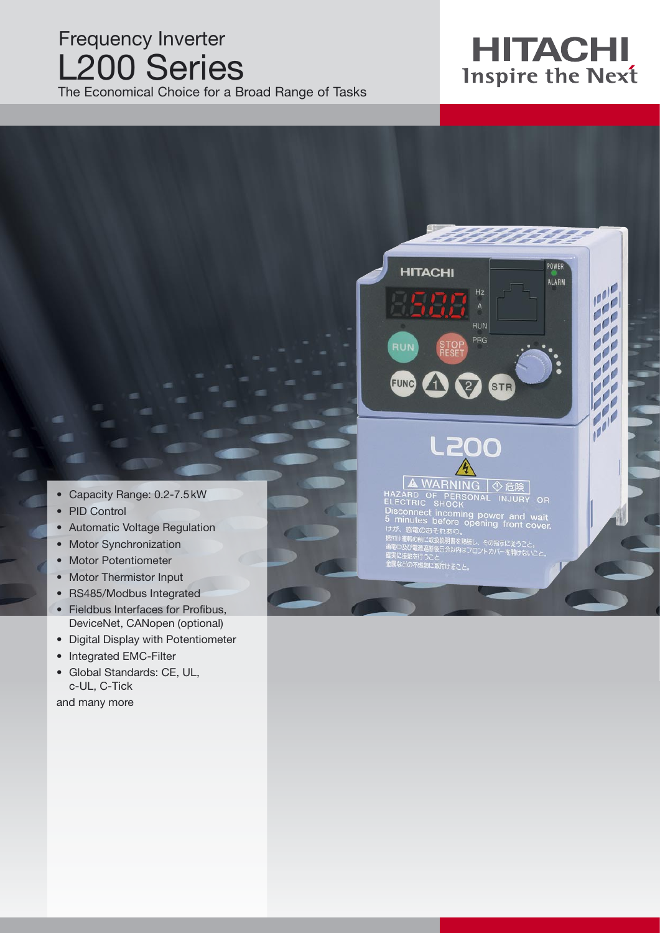## Frequency Inverter L200 Series

The Economical Choice for a Broad Range of Tasks

# **HITACHI**<br>Inspire the Next

POWER

ALARM

 $\mathbf{r}$ 

**Print** 

**Colo** 

i.

i je

**P Part** 



- PID Control
- Automatic Voltage Regulation
- Motor Synchronization
- Motor Potentiometer
- Motor Thermistor Input
- RS485/Modbus Integrated
- Fieldbus Interfaces for Profibus, DeviceNet, CANopen (optional)
- Digital Display with Potentiometer
- Integrated EMC-Filter
- Global Standards: CE, UL, c-UL, C-Tick

and many more



 $Hz$ 

**HITACHI** 

## L200 ▲ WARNING | ① 危険

TARD OF PERSONAL INJURY 

【源遮断後5分以内はフロントカバーを開けないこと を行うこと<br>下燃物に取付けること。